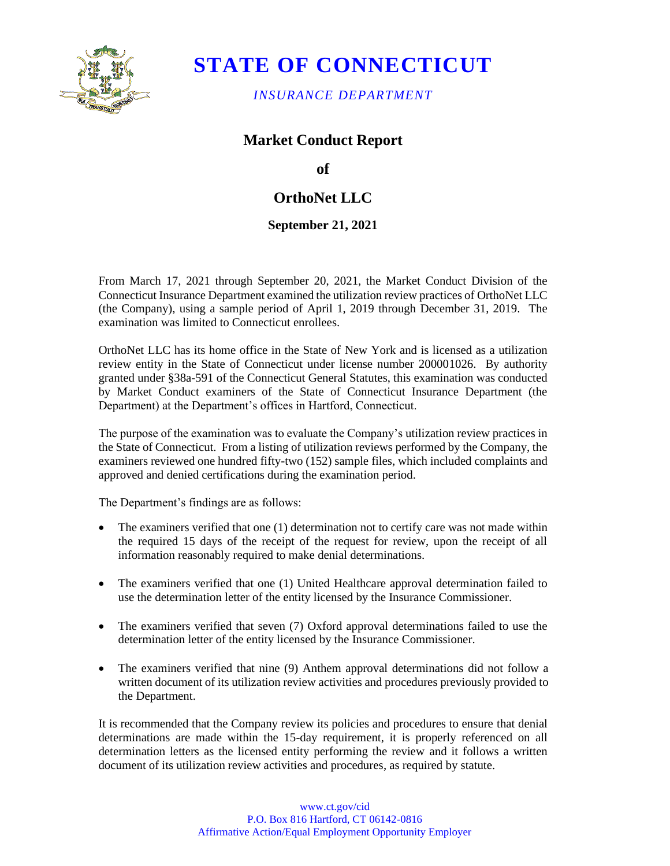

## **STATE OF CONNECTICUT**

*INSURANCE DEPARTMENT* 

### **Market Conduct Report**

**of** 

## **OrthoNet LLC**

### **September 21, 2021**

 From March 17, 2021 through September 20, 2021, the Market Conduct Division of the Connecticut Insurance Department examined the utilization review practices of OrthoNet LLC (the Company), using a sample period of April 1, 2019 through December 31, 2019. The examination was limited to Connecticut enrollees.

 OrthoNet LLC has its home office in the State of New York and is licensed as a utilization review entity in the State of Connecticut under license number 200001026. By authority granted under §38a-591 of the Connecticut General Statutes, this examination was conducted by Market Conduct examiners of the State of Connecticut Insurance Department (the Department) at the Department's offices in Hartford, Connecticut.

 The purpose of the examination was to evaluate the Company's utilization review practices in the State of Connecticut. From a listing of utilization reviews performed by the Company, the examiners reviewed one hundred fifty-two (152) sample files, which included complaints and approved and denied certifications during the examination period.

The Department's findings are as follows:

- The examiners verified that one (1) determination not to certify care was not made within the required 15 days of the receipt of the request for review, upon the receipt of all information reasonably required to make denial determinations.
- The examiners verified that one (1) United Healthcare approval determination failed to use the determination letter of the entity licensed by the Insurance Commissioner.
- The examiners verified that seven (7) Oxford approval determinations failed to use the determination letter of the entity licensed by the Insurance Commissioner.
- • The examiners verified that nine (9) Anthem approval determinations did not follow a written document of its utilization review activities and procedures previously provided to the Department.

It is recommended that the Company review its policies and procedures to ensure that denial determinations are made within the 15-day requirement, it is properly referenced on all determination letters as the licensed entity performing the review and it follows a written document of its utilization review activities and procedures, as required by statute.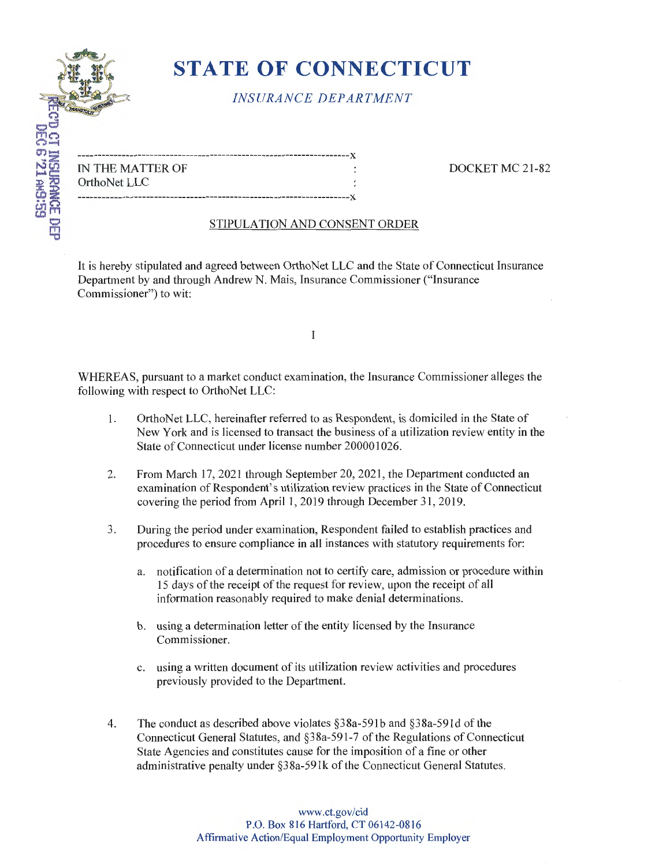

# **STATE OF CONNECTICUT**

## *INSURANCE DEPARTMENT*

| IN THE MATTER OF |  |
|------------------|--|
| OrthoNet LLC     |  |
|                  |  |

DOCKET MC 21-82

#### STIPULATION AND CONSENT ORDER

It is hereby stipulated and agreed between OrthoNet LLC and the State of Connecticut Insurance Department by and through Andrew N. Mais, Insurance Commissioner ("Insurance Commissioner") to wit:

I

WHEREAS, pursuant to a market conduct examination, the Insurance Commissioner alleges the following with respect to OrthoNet LLC:

- I. OrthoNet LLC, hereinafter referred to as Respondent, is domiciled in the State of New York and is licensed to transact the business of a utilization review entity in the State of Connecticut under license number 200001026.
- 2. From March 17, 2021 through September 20, 2021 , the Department conducted an examination of Respondent's utilization review practices in the State of Connecticut covering the period from April 1, 2019 through December 31, 2019.
- 3. During the period under examination, Respondent failed to establish practices and procedures to ensure compliance in all instances with statutory requirements for:
	- a. notification of a determination not to certify care, admission or procedure within 15 days of the receipt of the request for review, upon the receipt of all information reasonably required to make denial determinations.
	- b. using a determination letter of the entity licensed by the Insurance Commissioner.
	- c. using a written document of its utilization review activities and procedures previously provided to the Department.
- 4. The conduct as described above violates §38a-59Ib and §38a-59Id of the Connecticut General Statutes, and §3 Sa-591-7 of the Regulations of Connecticut State Agencies and constitutes cause for the imposition of a fine or other administrative penalty under §38a-59lk of the Connecticut General Statutes.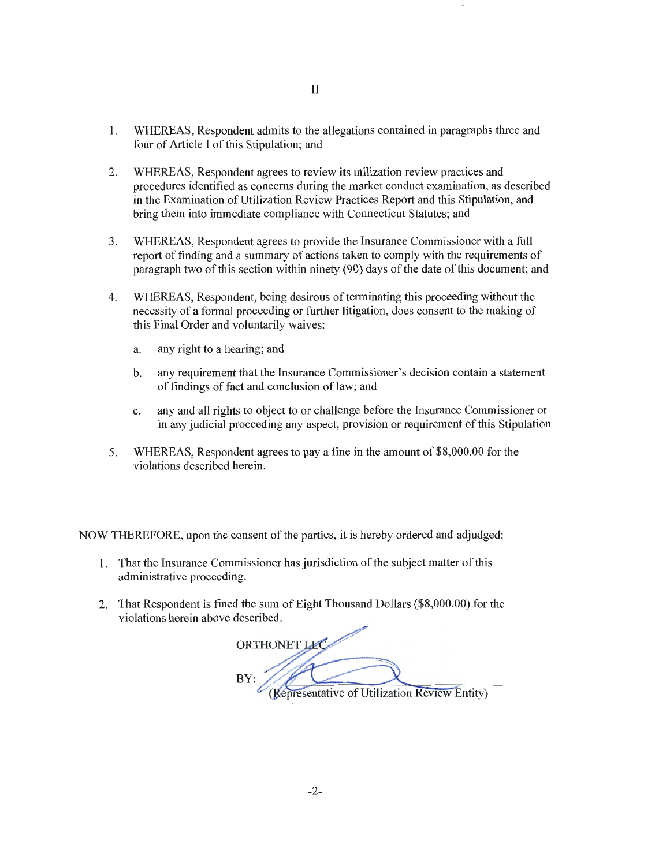- 1. WHEREAS, Respondent admits to the allegations contained in paragraphs three and four of Article I of this Stipulation; and
- 2. WHEREAS, Respondent agrees to review its utilization review practices and procedures identified as concerns during the market conduct examination, as described in the Examination of Utilization Review Practices Report and this Stipulation, and bring them into immediate compliance with Connecticut Statutes; and
- 3. WHEREAS, Respondent agrees to provide the Insurance Commissioner with a full report of finding and a summary of actions taken to comply with the requirements of paragraph two of this section within ninety (90) days of the date of this document; and
- 4. WHEREAS, Respondent, being desirous of terminating this proceeding without the necessity of a formal proceeding or further litigation, does consent to the making of this Final Order and voluntarily waives:
	- a. any right to a hearing; and
	- b. any requirement that the Insurance Commissioner's decision contain a statement of findings of fact and conclusion of law; and
	- c. any and all rights to object to or challenge before the Insurance Commissioner or in any judicial proceeding any aspect, provision or requirement of this Stipulation
- 5. WHEREAS, Respondent agrees to pay a fine in the amount of \$8,000.00 for the violations described herein.

NOW THEREFORE, upon the consent of the parties, it is hereby ordered and adjudged:

- 1. That the Insurance Commissioner has jurisdiction of the subject matter of this administrative proceeding.
- 2. That Respondent is fined the sum of Eight Thousand Dollars (\$8,000.00) for the violations herein above described.

**OFTHONET LEC** *(Representative of Utilization Review Eritity)*